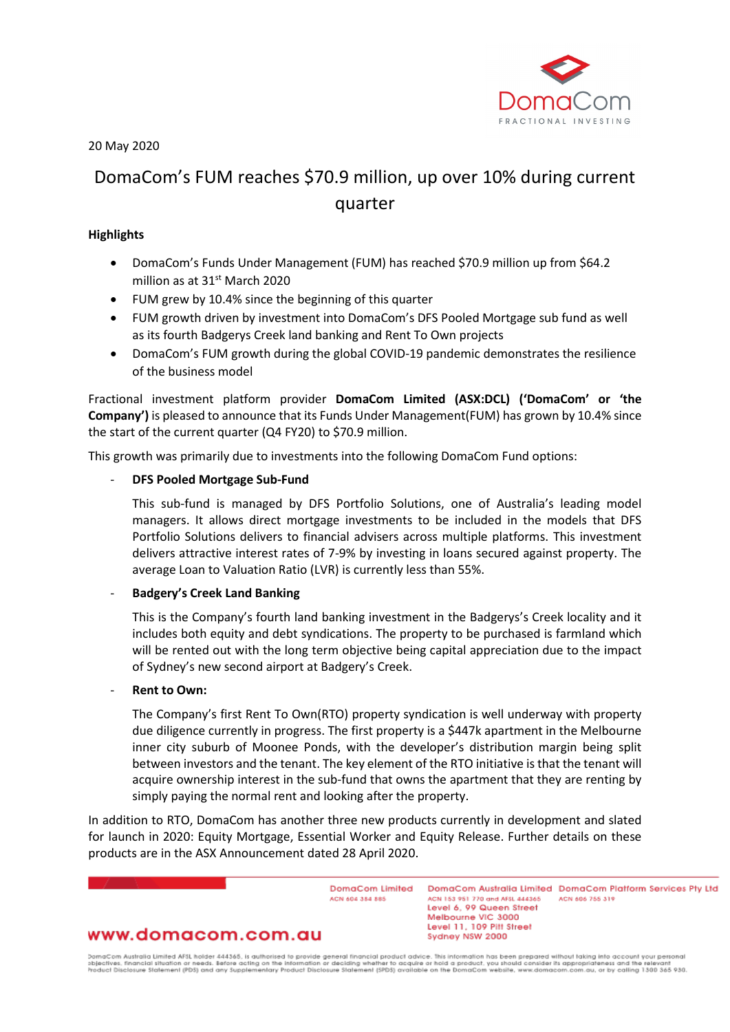

20 May 2020

# DomaCom's FUM reaches \$70.9 million, up over 10% during current quarter

# **Highlights**

- DomaCom's Funds Under Management (FUM) has reached \$70.9 million up from \$64.2 million as at 31<sup>st</sup> March 2020
- FUM grew by 10.4% since the beginning of this quarter
- FUM growth driven by investment into DomaCom's DFS Pooled Mortgage sub fund as well as its fourth Badgerys Creek land banking and Rent To Own projects
- DomaCom's FUM growth during the global COVID-19 pandemic demonstrates the resilience of the business model

Fractional investment platform provider **DomaCom Limited (ASX:DCL) ('DomaCom' or 'the Company')** is pleased to announce that its Funds Under Management(FUM) has grown by 10.4% since the start of the current quarter (Q4 FY20) to \$70.9 million.

This growth was primarily due to investments into the following DomaCom Fund options:

# - **DFS Pooled Mortgage Sub-Fund**

This sub-fund is managed by DFS Portfolio Solutions, one of Australia's leading model managers. It allows direct mortgage investments to be included in the models that DFS Portfolio Solutions delivers to financial advisers across multiple platforms. This investment delivers attractive interest rates of 7-9% by investing in loans secured against property. The average Loan to Valuation Ratio (LVR) is currently less than 55%.

## - **Badgery's Creek Land Banking**

This is the Company's fourth land banking investment in the Badgerys's Creek locality and it includes both equity and debt syndications. The property to be purchased is farmland which will be rented out with the long term objective being capital appreciation due to the impact of Sydney's new second airport at Badgery's Creek.

## **Rent to Own:**

The Company's first Rent To Own(RTO) property syndication is well underway with property due diligence currently in progress. The first property is a \$447k apartment in the Melbourne inner city suburb of Moonee Ponds, with the developer's distribution margin being split between investors and the tenant. The key element of the RTO initiative is that the tenant will acquire ownership interest in the sub-fund that owns the apartment that they are renting by simply paying the normal rent and looking after the property.

In addition to RTO, DomaCom has another three new products currently in development and slated for launch in 2020: Equity Mortgage, Essential Worker and Equity Release. Further details on these products are in the ASX Announcement dated 28 April 2020.

> DomaCom Limited ACN 604 384 885

DomgCom Australia Limited DomgCom Platform Services Pty Ltd ACN 153 951 770 and AFSL 444365 ACN 606 755 319 Level 6, 99 Queen Street Melbourne VIC 3000 Level 11, 109 Pitt Street Sydney NSW 2000

# www.domacom.com.au

DomaCom Australia Limited AFSL holder 444365, is authorised to provide general financial product advice. This information has been prepared without laking into account your personal<br>objectives, financial situation or need